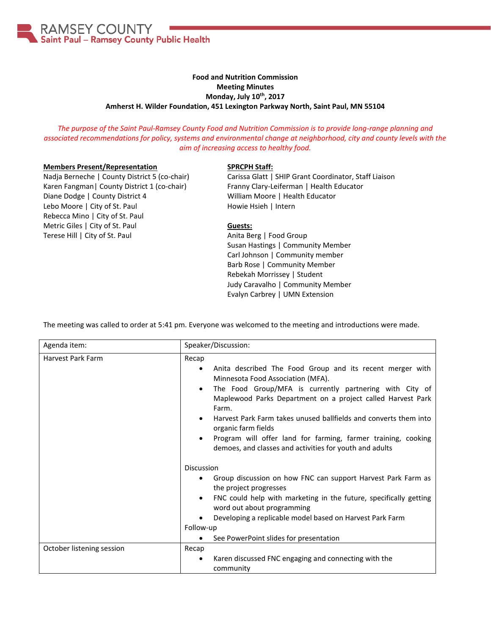

# **Food and Nutrition Commission Meeting Minutes Monday, July 10th, 2017 Amherst H. Wilder Foundation, 451 Lexington Parkway North, Saint Paul, MN 55104**

*The purpose of the Saint Paul-Ramsey County Food and Nutrition Commission is to provide long-range planning and associated recommendations for policy, systems and environmental change at neighborhood, city and county levels with the aim of increasing access to healthy food.*

### **Members Present/Representation**

Nadja Berneche | County District 5 (co-chair) Karen Fangman| County District 1 (co-chair) Diane Dodge | County District 4 Lebo Moore | City of St. Paul Rebecca Mino | City of St. Paul Metric Giles | City of St. Paul Terese Hill | City of St. Paul

#### **SPRCPH Staff:**

Carissa Glatt | SHIP Grant Coordinator, Staff Liaison Franny Clary-Leiferman | Health Educator William Moore | Health Educator Howie Hsieh | Intern

### **Guests:**

Anita Berg | Food Group Susan Hastings | Community Member Carl Johnson | Community member Barb Rose | Community Member Rebekah Morrissey | Student Judy Caravalho | Community Member Evalyn Carbrey | UMN Extension

The meeting was called to order at 5:41 pm. Everyone was welcomed to the meeting and introductions were made.

| Agenda item:              | Speaker/Discussion:                                                                                                                                                                                                                                                                                                                                                                                                                                                                                                   |
|---------------------------|-----------------------------------------------------------------------------------------------------------------------------------------------------------------------------------------------------------------------------------------------------------------------------------------------------------------------------------------------------------------------------------------------------------------------------------------------------------------------------------------------------------------------|
| Harvest Park Farm         | Recap<br>Anita described The Food Group and its recent merger with<br>$\bullet$<br>Minnesota Food Association (MFA).<br>The Food Group/MFA is currently partnering with City of<br>$\bullet$<br>Maplewood Parks Department on a project called Harvest Park<br>Farm.<br>Harvest Park Farm takes unused ballfields and converts them into<br>$\bullet$<br>organic farm fields<br>Program will offer land for farming, farmer training, cooking<br>$\bullet$<br>demoes, and classes and activities for youth and adults |
|                           | Discussion<br>Group discussion on how FNC can support Harvest Park Farm as<br>the project progresses<br>FNC could help with marketing in the future, specifically getting<br>$\bullet$<br>word out about programming<br>Developing a replicable model based on Harvest Park Farm<br>Follow-up<br>See PowerPoint slides for presentation<br>$\bullet$                                                                                                                                                                  |
| October listening session | Recap<br>Karen discussed FNC engaging and connecting with the<br>$\bullet$<br>community                                                                                                                                                                                                                                                                                                                                                                                                                               |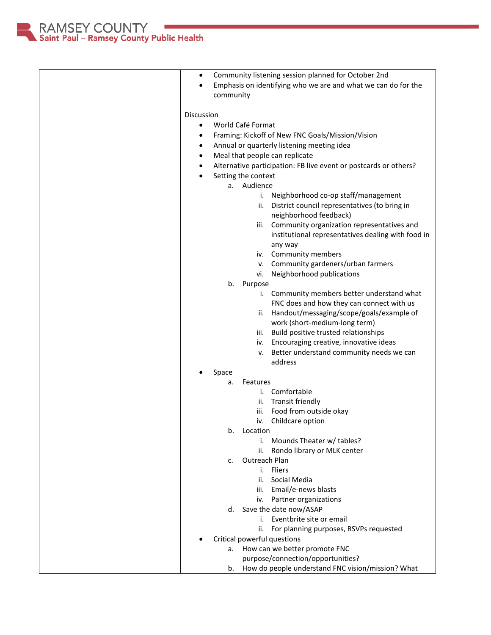RAMSEY COUNTY<br>Saint Paul – Ramsey County Public Health

| Community listening session planned for October 2nd<br>٠         |
|------------------------------------------------------------------|
| Emphasis on identifying who we are and what we can do for the    |
| community                                                        |
| <b>Discussion</b>                                                |
| World Café Format<br>٠                                           |
| Framing: Kickoff of New FNC Goals/Mission/Vision<br>$\bullet$    |
| Annual or quarterly listening meeting idea<br>٠                  |
| Meal that people can replicate<br>$\bullet$                      |
| Alternative participation: FB live event or postcards or others? |
| ٠<br>Setting the context                                         |
| a. Audience                                                      |
| Neighborhood co-op staff/management<br>i.                        |
| District council representatives (to bring in<br>ii.             |
| neighborhood feedback)                                           |
| iii. Community organization representatives and                  |
| institutional representatives dealing with food in               |
| any way                                                          |
| iv. Community members                                            |
| v. Community gardeners/urban farmers                             |
| Neighborhood publications<br>vi.                                 |
| b.<br>Purpose                                                    |
| i. Community members better understand what                      |
| FNC does and how they can connect with us                        |
| Handout/messaging/scope/goals/example of<br>ii.                  |
| work (short-medium-long term)                                    |
| iii. Build positive trusted relationships                        |
| iv. Encouraging creative, innovative ideas                       |
| v. Better understand community needs we can                      |
| address                                                          |
| Space                                                            |
| Features<br>a.                                                   |
| Comfortable<br>i.                                                |
| ii. Transit friendly                                             |
| Food from outside okay<br>iii.                                   |
| Childcare option<br>iv.                                          |
| Location<br>b.                                                   |
| Mounds Theater w/ tables?<br>i.                                  |
| Rondo library or MLK center<br>ii.<br>Outreach Plan              |
| c.<br><b>Fliers</b>                                              |
| i.                                                               |
| Social Media<br>ii.<br>iii. Email/e-news blasts                  |
| iv. Partner organizations                                        |
| Save the date now/ASAP<br>d.                                     |
| i. Eventbrite site or email                                      |
| For planning purposes, RSVPs requested<br>ii.                    |
| Critical powerful questions                                      |
| a. How can we better promote FNC                                 |
| purpose/connection/opportunities?                                |
| How do people understand FNC vision/mission? What<br>b.          |
|                                                                  |